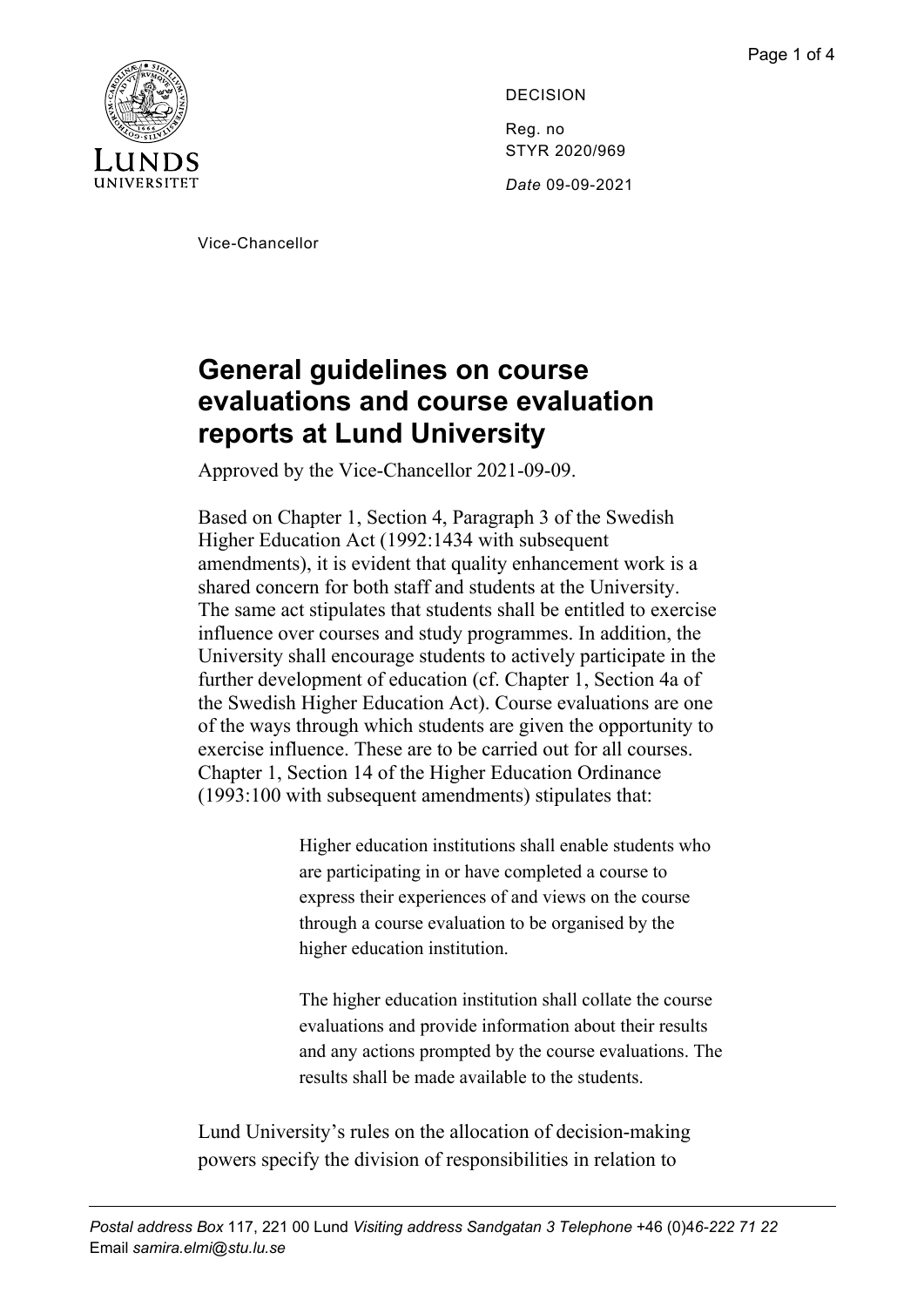

DECISION Reg. no STYR 2020/969 *Date* 09-09-2021

Vice-Chancellor

## **General guidelines on course evaluations and course evaluation reports at Lund University**

Approved by the Vice-Chancellor 2021-09-09.

Based on Chapter 1, Section 4, Paragraph 3 of the Swedish Higher Education Act (1992:1434 with subsequent amendments), it is evident that quality enhancement work is a shared concern for both staff and students at the University. The same act stipulates that students shall be entitled to exercise influence over courses and study programmes. In addition, the University shall encourage students to actively participate in the further development of education (cf. Chapter 1, Section 4a of the Swedish Higher Education Act). Course evaluations are one of the ways through which students are given the opportunity to exercise influence. These are to be carried out for all courses. Chapter 1, Section 14 of the Higher Education Ordinance (1993:100 with subsequent amendments) stipulates that:

> Higher education institutions shall enable students who are participating in or have completed a course to express their experiences of and views on the course through a course evaluation to be organised by the higher education institution.

The higher education institution shall collate the course evaluations and provide information about their results and any actions prompted by the course evaluations. The results shall be made available to the students.

Lund University's rules on the allocation of decision-making powers specify the division of responsibilities in relation to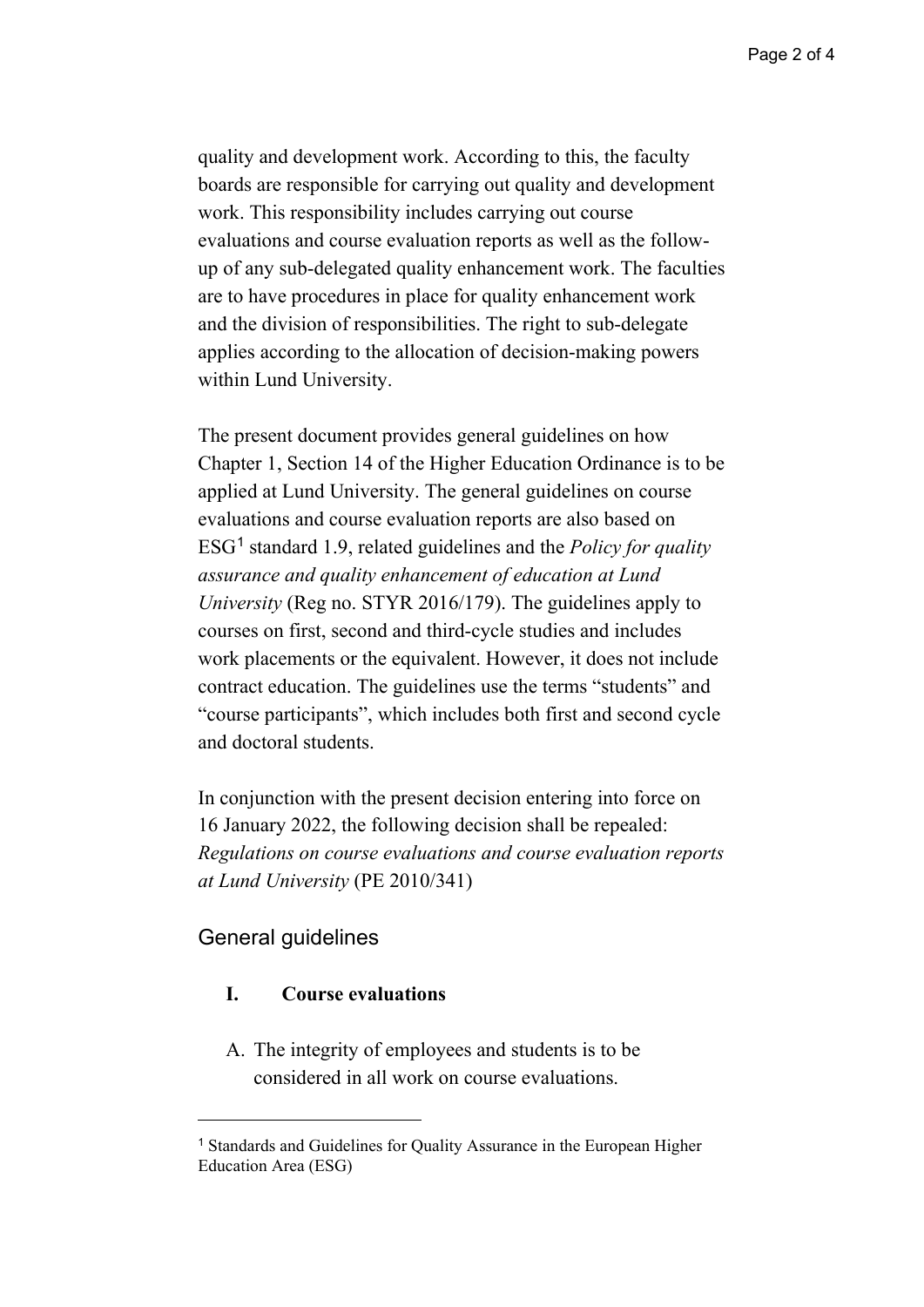quality and development work. According to this, the faculty boards are responsible for carrying out quality and development work. This responsibility includes carrying out course evaluations and course evaluation reports as well as the followup of any sub-delegated quality enhancement work. The faculties are to have procedures in place for quality enhancement work and the division of responsibilities. The right to sub-delegate applies according to the allocation of decision-making powers within Lund University.

The present document provides general guidelines on how Chapter 1, Section 14 of the Higher Education Ordinance is to be applied at Lund University. The general guidelines on course evaluations and course evaluation reports are also based on ESG[1](#page-1-0) standard 1.9, related guidelines and the *Policy for quality assurance and quality enhancement of education at Lund University* (Reg no. STYR 2016/179). The guidelines apply to courses on first, second and third-cycle studies and includes work placements or the equivalent. However, it does not include contract education. The guidelines use the terms "students" and "course participants", which includes both first and second cycle and doctoral students.

In conjunction with the present decision entering into force on 16 January 2022, the following decision shall be repealed: *Regulations on course evaluations and course evaluation reports at Lund University* (PE 2010/341)

## General guidelines

## **I. Course evaluations**

A. The integrity of employees and students is to be considered in all work on course evaluations.

<span id="page-1-0"></span><sup>1</sup> Standards and Guidelines for Quality Assurance in the European Higher Education Area (ESG)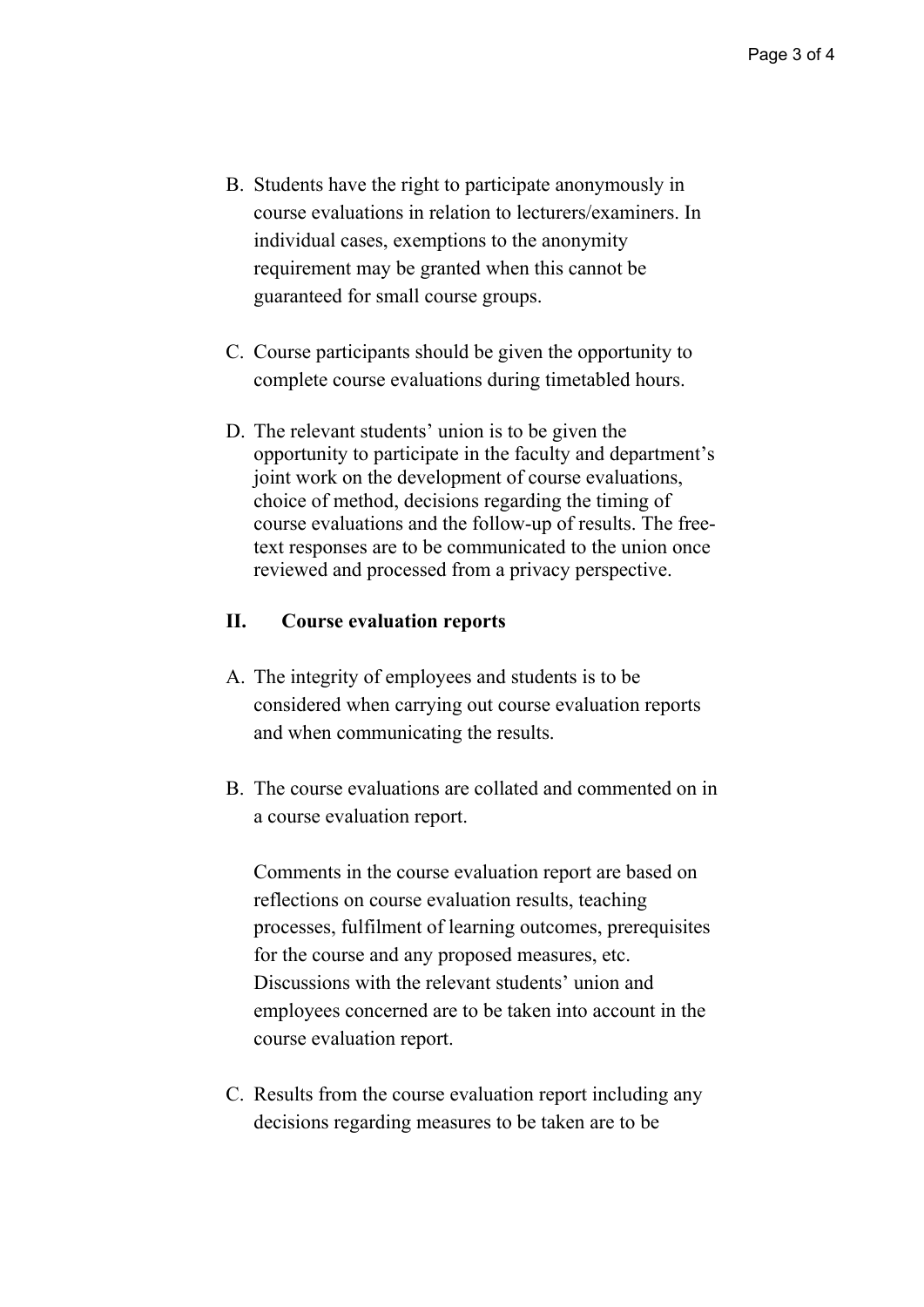- B. Students have the right to participate anonymously in course evaluations in relation to lecturers/examiners. In individual cases, exemptions to the anonymity requirement may be granted when this cannot be guaranteed for small course groups.
- C. Course participants should be given the opportunity to complete course evaluations during timetabled hours.
- D. The relevant students' union is to be given the opportunity to participate in the faculty and department's joint work on the development of course evaluations, choice of method, decisions regarding the timing of course evaluations and the follow-up of results. The freetext responses are to be communicated to the union once reviewed and processed from a privacy perspective.

## **II. Course evaluation reports**

- A. The integrity of employees and students is to be considered when carrying out course evaluation reports and when communicating the results.
- B. The course evaluations are collated and commented on in a course evaluation report.

Comments in the course evaluation report are based on reflections on course evaluation results, teaching processes, fulfilment of learning outcomes, prerequisites for the course and any proposed measures, etc. Discussions with the relevant students' union and employees concerned are to be taken into account in the course evaluation report.

C. Results from the course evaluation report including any decisions regarding measures to be taken are to be